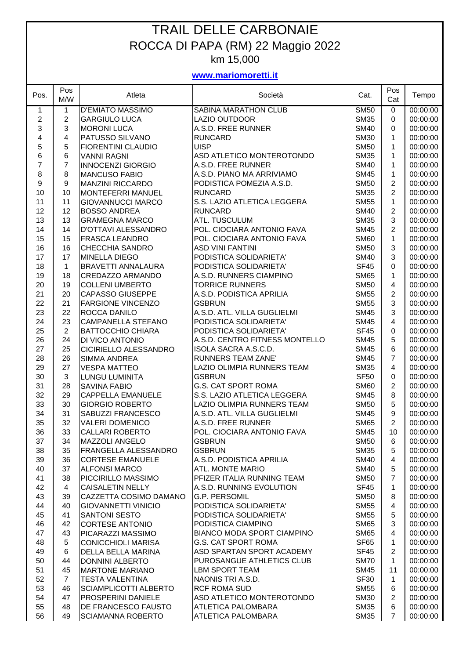## TRAIL DELLE CARBONAIE ROCCA DI PAPA (RM) 22 Maggio 2022 km 15,000

## **www.mariomoretti.it**

| Pos.           | Pos<br>M/W     | Atleta                                        | Società                           | Cat.                | Pos<br>Cat              | Tempo                |
|----------------|----------------|-----------------------------------------------|-----------------------------------|---------------------|-------------------------|----------------------|
| 1              | 1              | <b>D'EMIATO MASSIMO</b>                       | <b>SABINA MARATHON CLUB</b>       | <b>SM50</b>         | 0                       | 00:00:00             |
| $\overline{c}$ | $\overline{c}$ | <b>GARGIULO LUCA</b>                          | LAZIO OUTDOOR                     | <b>SM35</b>         | 0                       | 00:00:00             |
| 3              | 3              | <b>MORONI LUCA</b>                            | A.S.D. FREE RUNNER                | <b>SM40</b>         | 0                       | 00:00:00             |
| 4              | 4              | PATUSSO SILVANO                               | <b>RUNCARD</b>                    | <b>SM30</b>         | 1                       | 00:00:00             |
|                | 5              | <b>FIORENTINI CLAUDIO</b>                     | <b>UISP</b>                       | <b>SM50</b>         | 1                       | 00:00:00             |
| $\frac{5}{6}$  | 6              | <b>VANNI RAGNI</b>                            | ASD ATLETICO MONTEROTONDO         | <b>SM35</b>         | 1                       | 00:00:00             |
| $\overline{7}$ | $\overline{7}$ |                                               | A.S.D. FREE RUNNER                |                     |                         |                      |
|                |                | <b>INNOCENZI GIORGIO</b>                      |                                   | <b>SM40</b>         | 1                       | 00:00:00             |
| $\,8\,$        | 8              | <b>MANCUSO FABIO</b>                          | A.S.D. PIANO MA ARRIVIAMO         | <b>SM45</b>         | 1                       | 00:00:00             |
| 9              | 9              | <b>MANZINI RICCARDO</b>                       | PODISTICA POMEZIA A.S.D.          | <b>SM50</b>         | $\overline{c}$          | 00:00:00             |
| 10             | 10             | <b>MONTEFERRI MANUEL</b>                      | <b>RUNCARD</b>                    | <b>SM35</b>         | $\overline{c}$          | 00:00:00             |
| 11             | 11             | <b>GIOVANNUCCI MARCO</b>                      | S.S. LAZIO ATLETICA LEGGERA       | <b>SM55</b>         | $\mathbf{1}$            | 00:00:00             |
| 12             | 12             | <b>BOSSO ANDREA</b>                           | <b>RUNCARD</b>                    | <b>SM40</b>         | $\overline{c}$          | 00:00:00             |
| 13             | 13             | <b>GRAMEGNA MARCO</b>                         | ATL. TUSCULUM                     | <b>SM35</b>         | 3                       | 00:00:00             |
| 14             | 14             | <b>D'OTTAVI ALESSANDRO</b>                    | POL. CIOCIARA ANTONIO FAVA        | <b>SM45</b>         | $\overline{2}$          | 00:00:00             |
| 15             | 15             | <b>FRASCA LEANDRO</b>                         | POL. CIOCIARA ANTONIO FAVA        | <b>SM60</b>         | $\mathbf{1}$            | 00:00:00             |
| 16             | 16             | <b>CHECCHIA SANDRO</b>                        | <b>ASD VINI FANTINI</b>           | <b>SM50</b>         | 3                       | 00:00:00             |
| 17             | 17             | <b>MINELLA DIEGO</b>                          | PODISTICA SOLIDARIETA'            | <b>SM40</b>         | 3                       | 00:00:00             |
| 18             | $\mathbf{1}$   | <b>BRAVETTI ANNALAURA</b>                     | PODISTICA SOLIDARIETA'            | <b>SF45</b>         | 0                       | 00:00:00             |
| 19             | 18             | CREDAZZO ARMANDO                              | A.S.D. RUNNERS CIAMPINO           | <b>SM65</b>         | $\mathbf{1}$            | 00:00:00             |
| 20             | 19             | <b>COLLENI UMBERTO</b>                        | <b>TORRICE RUNNERS</b>            | <b>SM50</b>         | 4                       | 00:00:00             |
| 21             | 20             | <b>CAPASSO GIUSEPPE</b>                       | A.S.D. PODISTICA APRILIA          | <b>SM55</b>         | $\overline{2}$          | 00:00:00             |
| 22             | 21             | <b>FARGIONE VINCENZO</b>                      | <b>GSBRUN</b>                     | <b>SM55</b>         | 3                       | 00:00:00             |
| 23             | 22             | ROCCA DANILO                                  | A.S.D. ATL. VILLA GUGLIELMI       | <b>SM45</b>         | 3                       | 00:00:00             |
| 24             | 23             | <b>CAMPANELLA STEFANO</b>                     | PODISTICA SOLIDARIETA'            | <b>SM45</b>         | $\overline{4}$          | 00:00:00             |
| 25             | $\overline{2}$ | <b>BATTOCCHIO CHIARA</b>                      | PODISTICA SOLIDARIETA'            | <b>SF45</b>         | 0                       | 00:00:00             |
| 26             | 24             | DI VICO ANTONIO                               | A.S.D. CENTRO FITNESS MONTELLO    | <b>SM45</b>         | 5                       | 00:00:00             |
| 27             | 25             | CICIRIELLO ALESSANDRO                         | ISOLA SACRA A.S.C.D.              | <b>SM45</b>         | 6                       | 00:00:00             |
| 28             | 26             | <b>SIMMA ANDREA</b>                           | <b>RUNNERS TEAM ZANE'</b>         | <b>SM45</b>         | 7                       | 00:00:00             |
| 29             | 27             | <b>VESPA MATTEO</b>                           | LAZIO OLIMPIA RUNNERS TEAM        | <b>SM35</b>         | 4                       | 00:00:00             |
| 30             | 3              | <b>LUNGU LUMINITA</b>                         | <b>GSBRUN</b>                     | <b>SF50</b>         | 0                       | 00:00:00             |
| 31             | 28             | <b>SAVINA FABIO</b>                           | <b>G.S. CAT SPORT ROMA</b>        | <b>SM60</b>         | $\overline{2}$          | 00:00:00             |
| 32             | 29             | <b>CAPPELLA EMANUELE</b>                      | S.S. LAZIO ATLETICA LEGGERA       | <b>SM45</b>         | 8                       | 00:00:00             |
| 33             | 30             | <b>GIORGIO ROBERTO</b>                        | <b>LAZIO OLIMPIA RUNNERS TEAM</b> | <b>SM50</b>         | 5                       | 00:00:00             |
| 34             | 31             | SABUZZI FRANCESCO                             | A.S.D. ATL. VILLA GUGLIELMI       | <b>SM45</b>         | 9                       | 00:00:00             |
| 35             | 32             | <b>VALERI DOMENICO</b>                        | A.S.D. FREE RUNNER                | <b>SM65</b>         | $\overline{2}$          | 00:00:00             |
|                | 33             | <b>CALLARI ROBERTO</b>                        | POL. CIOCIARA ANTONIO FAVA        |                     | 10                      |                      |
| 36<br>37       | 34             |                                               | <b>GSBRUN</b>                     | SM45<br><b>SM50</b> |                         | 00:00:00<br>00:00:00 |
| 38             | 35             | <b>MAZZOLI ANGELO</b><br>FRANGELLA ALESSANDRO | <b>GSBRUN</b>                     | <b>SM35</b>         | 6<br>5                  | 00:00:00             |
|                |                |                                               | A.S.D. PODISTICA APRILIA          |                     | $\overline{\mathbf{4}}$ |                      |
| 39             | 36<br>37       | <b>CORTESE EMANUELE</b>                       | <b>ATL. MONTE MARIO</b>           | <b>SM40</b>         |                         | 00:00:00             |
| 40             |                | <b>ALFONSI MARCO</b>                          |                                   | <b>SM40</b>         | 5<br>$\overline{7}$     | 00:00:00             |
| 41             | 38             | PICCIRILLO MASSIMO                            | PFIZER ITALIA RUNNING TEAM        | <b>SM50</b>         |                         | 00:00:00             |
| 42             | $\overline{4}$ | <b>CAISALETIN NELLY</b>                       | A.S.D. RUNNING EVOLUTION          | <b>SF45</b>         | 1                       | 00:00:00             |
| 43             | 39             | CAZZETTA COSIMO DAMANO                        | <b>G.P. PERSOMIL</b>              | <b>SM50</b>         | 8                       | 00:00:00             |
| 44             | 40             | <b>GIOVANNETTI VINICIO</b>                    | PODISTICA SOLIDARIETA'            | <b>SM55</b>         | 4                       | 00:00:00             |
| 45             | 41             | <b>SANTONI SESTO</b>                          | PODISTICA SOLIDARIETA'            | <b>SM55</b>         | 5                       | 00:00:00             |
| 46             | 42             | <b>CORTESE ANTONIO</b>                        | PODISTICA CIAMPINO                | <b>SM65</b>         | 3                       | 00:00:00             |
| 47             | 43             | PICARAZZI MASSIMO                             | <b>BIANCO MODA SPORT CIAMPINO</b> | <b>SM65</b>         | 4                       | 00:00:00             |
| 48             | 5              | <b>CONICCHIOLI MARISA</b>                     | <b>G.S. CAT SPORT ROMA</b>        | SF65                | 1                       | 00:00:00             |
| 49             | 6              | <b>DELLA BELLA MARINA</b>                     | ASD SPARTAN SPORT ACADEMY         | SF45                | $\overline{2}$          | 00:00:00             |
| 50             | 44             | <b>DONNINI ALBERTO</b>                        | PUROSANGUE ATHLETICS CLUB         | <b>SM70</b>         | $\mathbf 1$             | 00:00:00             |
| 51             | 45             | <b>MARTONE MARIANO</b>                        | <b>LBM SPORT TEAM</b>             | <b>SM45</b>         | 11                      | 00:00:00             |
| 52             | $\overline{7}$ | <b>TESTA VALENTINA</b>                        | NAONIS TRI A.S.D.                 | <b>SF30</b>         | 1                       | 00:00:00             |
| 53             | 46             | <b>SCIAMPLICOTTI ALBERTO</b>                  | <b>RCF ROMA SUD</b>               | <b>SM55</b>         | 6                       | 00:00:00             |
| 54             | 47             | <b>PROSPERINI DANIELE</b>                     | ASD ATLETICO MONTEROTONDO         | <b>SM30</b>         | $\overline{2}$          | 00:00:00             |
| 55             | 48             | <b>DE FRANCESCO FAUSTO</b>                    | <b>ATLETICA PALOMBARA</b>         | <b>SM35</b>         | 6                       | 00:00:00             |
| 56             | 49             | <b>SCIAMANNA ROBERTO</b>                      | <b>ATLETICA PALOMBARA</b>         | <b>SM35</b>         | $\overline{7}$          | 00:00:00             |